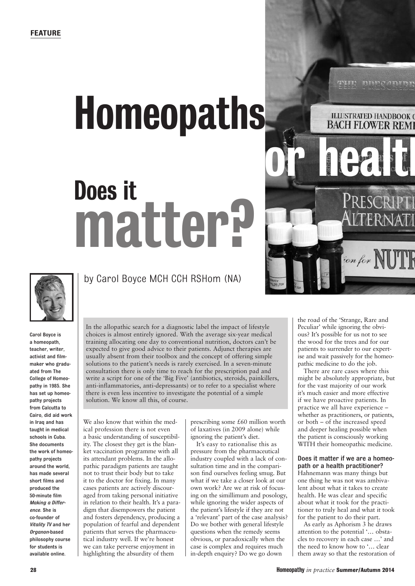# **Homeopaths** or health Does it matter?



Carol Boyce is a homeopath, teacher, writer, activist and filmmaker who graduated from The College of Homeopathy in 1985. She has set up homeopathy projects from Calcutta to Cairo, did aid work in Iraq and has taught in medical schools in Cuba. She documents the work of homeopathy projects around the world, has made several short films and produced the 50-minute film *Making a Difference*. She is co-founder of *Vitality TV* and her *Organon*-based philosophy course for students is available online.

### by Carol Boyce MCH CCH RSHom (NA)

In the allopathic search for a diagnostic label the impact of lifestyle choices is almost entirely ignored. With the average six-year medical training allocating one day to conventional nutrition, doctors can't be expected to give good advice to their patients. Adjunct therapies are usually absent from their toolbox and the concept of offering simple solutions to the patient's needs is rarely exercised. In a seven-minute consultation there is only time to reach for the prescription pad and write a script for one of the 'Big Five' (antibiotics, steroids, painkillers, anti-inflammatories, anti-depressants) or to refer to a specialist where there is even less incentive to investigate the potential of a simple solution. We know all this, of course.

We also know that within the medical profession there is not even a basic understanding of susceptibility. The closest they get is the blanket vaccination programme with all its attendant problems. In the allopathic paradigm patients are taught not to trust their body but to take it to the doctor for fixing. In many cases patients are actively discouraged from taking personal initiative in relation to their health. It's a paradigm that disempowers the patient and fosters dependency, producing a population of fearful and dependent patients that serves the pharmaceutical industry well. If we're honest we can take perverse enjoyment in highlighting the absurdity of them

prescribing some £60 million worth of laxatives (in 2009 alone) while ignoring the patient's diet.

It's easy to rationalise this as pressure from the pharmaceutical industry coupled with a lack of consultation time and in the comparison find ourselves feeling smug. But what if we take a closer look at our own work? Are we at risk of focusing on the simillimum and posology, while ignoring the wider aspects of the patient's lifestyle if they are not a 'relevant' part of the case analysis? Do we bother with general lifestyle questions when the remedy seems obvious, or paradoxically when the case is complex and requires much in-depth enquiry? Do we go down

the road of the 'Strange, Rare and Peculiar' while ignoring the obvious? It's possible for us not to see the wood for the trees and for our patients to surrender to our expertise and wait passively for the homeopathic medicine to do the job.

ion for

**LLEED** 

FIREY CARTER

**ILLUSTRATED HANDBOOK O BACH FLOWER REMI** 

There are rare cases where this might be absolutely appropriate, but for the vast majority of our work it's much easier and more effective if we have proactive patients. In practice we all have experience – whether as practitioners, or patients, or both – of the increased speed and deeper healing possible when the patient is consciously working WITH their homeopathic medicine.

#### Does it matter if we are a homeopath or a health practitioner?

Hahnemann was many things but one thing he was not was ambivalent about what it takes to create health. He was clear and specific about what it took for the practitioner to truly heal and what it took for the patient to do their part.

As early as Aphorism 3 he draws attention to the potential '… obstacles to recovery in each case …' and the need to know how to '… clear them away so that the restoration of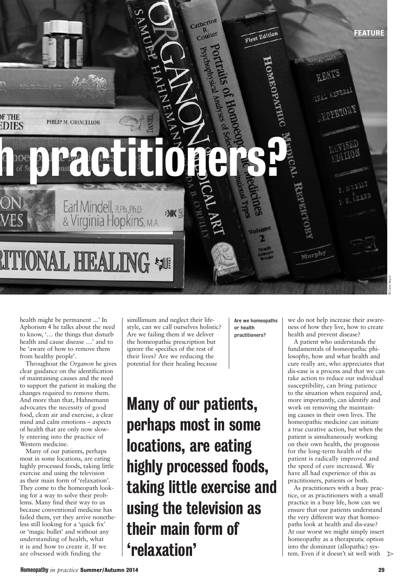

health might be permanent ...' In Aphorism 4 he talks about the need to know, '… the things that disturb health and cause disease …' and to be 'aware of how to remove them from healthy people'.

Throughout the *Organon* he gives clear guidance on the identification of maintaining causes and the need to support the patient in making the changes required to remove them. And more than that, Hahnemann advocates the necessity of good food, clean air and exercise, a clear mind and calm emotions – aspects of health that are only now slowly entering into the practice of Western medicine.

Many of our patients, perhaps most in some locations, are eating highly processed foods, taking little exercise and using the television as their main form of 'relaxation'. They come to the homeopath looking for a way to solve their problems. Many find their way to us because conventional medicine has failed them, yet they arrive nonetheless still looking for a 'quick fix' or 'magic bullet' and without any understanding of health, what it is and how to create it. If we are obsessed with finding the

simillimum and neglect their lifestyle, can we call ourselves holistic? Are we failing them if we deliver the homeopathic prescription but ignore the specifics of the rest of their lives? Are we reducing the potential for their healing because

Many of our patients,

perhaps most in some

highly processed foods,

taking little exercise and

using the television as

their main form of

'relaxation'

locations, are eating

Are we homeopaths or health practitioners?

we do not help increase their awareness of how they live, how to create health and prevent disease?

A patient who understands the fundamentals of homeopathic philosophy, how and what health and cure really are, who appreciates that dis-ease is a process and that we can take action to reduce our individual susceptibility, can bring patience to the situation when required and, more importantly, can identify and work on removing the maintaining causes in their own lives. The homeopathic medicine can initiate a true curative action, but when the patient is simultaneously working on their own health, the prognosis for the long-term health of the patient is radically improved and the speed of cure increased. We have all had experience of this as practitioners, patients or both.

As practitioners with a busy practice, or as practitioners with a small practice in a busy life, how can we ensure that our patients understand the very different way that homeopaths look at health and dis-ease? At our worst we might simply insert homeopathy as a therapeutic option into the dominant (allopathic) system. Even if it doesn't sit well with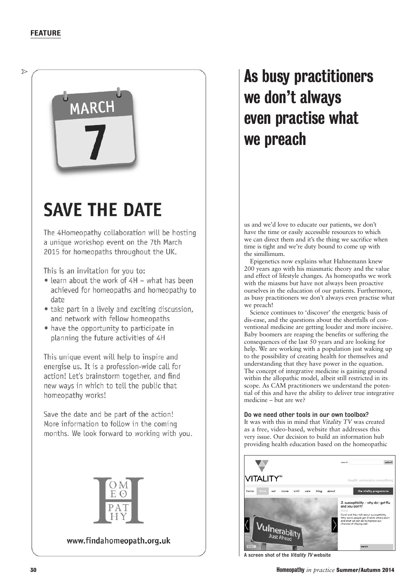$\triangleright$ 

# MARCH

# **SAVE THE DATE**

The 4Homeopathy collaboration will be hosting a unique workshop event on the 7th March 2015 for homeopaths throughout the UK.

This is an invitation for you to:

- learn about the work of 4H what has been achieved for homeopaths and homeopathy to date
- take part in a lively and exciting discussion, and network with fellow homeopaths
- have the opportunity to participate in planning the future activities of 4H

This unique event will help to inspire and energise us. It is a profession-wide call for action! Let's brainstorm together, and find new ways in which to tell the public that homeopathy works!

Save the date and be part of the action! More information to follow in the coming months. We look forward to working with you.



www.findahomeopath.org.uk

## As busy practitioners we don't always even practise what we preach

us and we'd love to educate our patients, we don't have the time or easily accessible resources to which we can direct them and it's the thing we sacrifice when time is tight and we're duty bound to come up with the simillimum.

Epigenetics now explains what Hahnemann knew 200 years ago with his miasmatic theory and the value and effect of lifestyle changes. As homeopaths we work with the miasms but have not always been proactive ourselves in the education of our patients. Furthermore, as busy practitioners we don't always even practise what we preach!

Science continues to 'discover' the energetic basis of dis-ease, and the questions about the shortfalls of conventional medicine are getting louder and more incisive. Baby boomers are reaping the benefits or suffering the consequences of the last 50 years and are looking for help. We are working with a population just waking up to the possibility of creating health for themselves and understanding that they have power in the equation. The concept of integrative medicine is gaining ground within the allopathic model, albeit still restricted in its scope. As CAM practitioners we understand the potential of this and have the ability to deliver true integrative medicine – but are we?

Do we need other tools in our own toolbox? It was with this in mind that *Vitality TV* was created as a free, video-based, website that addresses this very issue. Our decision to build an information hub providing health education based on the homeopathic



A screen shot of the *Vitality TV* website